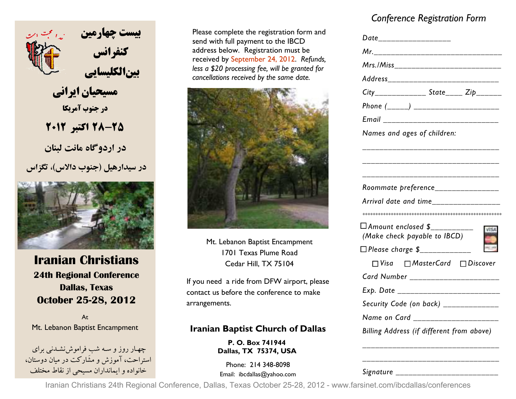

 **مسيحيان ايراني در جنوب آمريكا28-25 اكتبر <sup>2012</sup>**

 **در اردوگاه مانت لبنان**

**در سيدارهيل (جنوب دالاس) ، تگزاس** 



# **Iranian Christians 24th Regional Conference Dallas, Texas October 25-28, 2012**

AtMt. Lebanon Baptist Encampment

-چهــار روز و ســه شب فراموشiشــدنـی برای<br>استراحت، آموزش و مشَارکت در میان دوستان، خانواده و ايمانداران مسيحي از نقاط مختلف

Please complete the registration form and send with full payment to the IBCD address below. Registration must be received by September 24, 2012. *Refunds, less a \$20 processing fee, will be granted for cancellations received by the same date.*



Mt. Lebanon Baptist Encampment 1701 Texas Plume Road Cedar Hill, TX 75104

If you need a ride from DFW airport, please contact us before the conference to make arrangements.

### **Iranian Baptist Church of Dallas**

**P. O. Box 741944 Dallas, TX 75374, USA** 

Phone: 214 348-8098 Email: ibcdallas@yahoo.com

# *Conference Registration Form*

|                                                                 | Date___________________ |  |
|-----------------------------------------------------------------|-------------------------|--|
|                                                                 |                         |  |
| Mrs./Miss________________________                               |                         |  |
| Address_________________________                                |                         |  |
| $City$ <sub>_______________</sub> State_____Zip_______          |                         |  |
|                                                                 |                         |  |
| Email ________________________                                  |                         |  |
| Names and ages of children:                                     |                         |  |
|                                                                 |                         |  |
|                                                                 |                         |  |
|                                                                 |                         |  |
| Roommate preference________________                             |                         |  |
| Arrival date and time________________                           |                         |  |
|                                                                 |                         |  |
| □ Amount enclosed \$___________<br>(Make check payable to IBCD) |                         |  |
| □ Please charge \$_____________                                 |                         |  |
| $\Box$ Visa $\Box$ MasterCard $\Box$ Discover                   |                         |  |
| Card Number ______________________                              |                         |  |
| Exp. Date _______________________                               |                         |  |
| Security Code (on back) _____________                           |                         |  |
|                                                                 |                         |  |
| Name on Card _________________                                  |                         |  |

*Signature \_\_\_\_\_\_\_\_\_\_\_\_\_\_\_\_\_\_\_\_\_\_\_\_* 

Iranian Christians 24th Regional Conference, Dallas, Texas October 25-28, 2012 - www.farsinet.com/ibcdallas/conferences